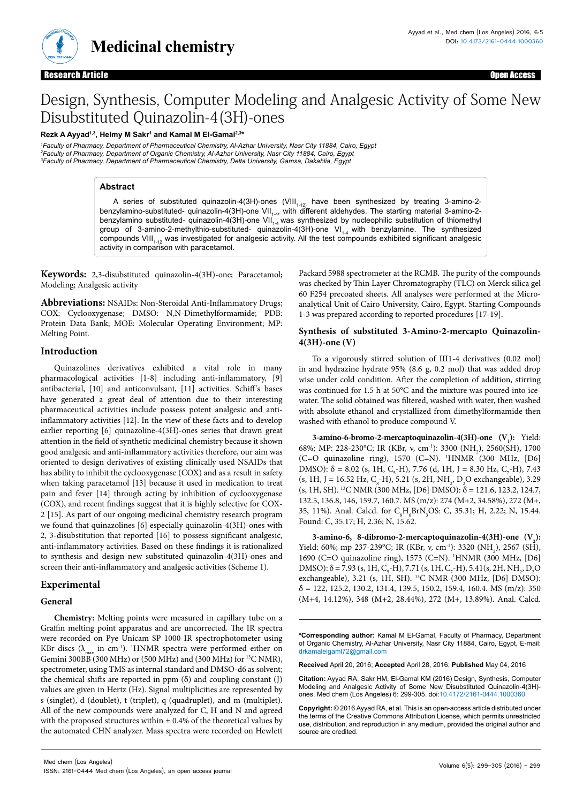

**Medicinal chemistry**

Open Access

# Design, Synthesis, Computer Modeling and Analgesic Activity of Some New Disubstituted Quinazolin-4(3H)-ones

**Rezk A Ayyad1,3, Helmy M Sakr1 and Kamal M El-Gamal2,3\***

*1 Faculty of Pharmacy, Department of Pharmaceutical Chemistry, Al-Azhar University, Nasr City 11884, Cairo, Egypt 2 Faculty of Pharmacy, Department of Organic Chemistry, Al-Azhar University, Nasr City 11884, Cairo, Egypt 3 Faculty of Pharmacy, Department of Pharmaceutical Chemistry, Delta University, Gamsa, Dakahlia, Egypt*

## **Abstract**

A series of substituted quinazolin-4(3H)-ones (VIII<sub>1-12)</sub> have been synthesized by treating 3-amino-2benzylamino-substituted- quinazolin-4(3H)-one VII<sub>1-4</sub>, with different aldehydes. The starting material 3-amino-2benzylamino substituted- quinazolin-4(3H)-one VII $_{1.4}$  was synthesized by nucleophilic substitution of thiomethyl group of 3-amino-2-methylthio-substituted- quinazolin-4(3H)-one VI<sub>1-4</sub> with benzylamine. The synthesized compounds VIII $_{1.12}$  was investigated for analgesic activity. All the test compounds exhibited significant analgesic activity in comparison with paracetamol.

**Keywords:** 2,3-disubstituted quinazolin-4(3H)-one; Paracetamol; Modeling; Analgesic activity

**Abbreviations:** NSAIDs: Non-Steroidal Anti-Inflammatory Drugs; COX: Cyclooxygenase; DMSO: N,N-Dimethylformamide; PDB: Protein Data Bank; MOE: Molecular Operating Environment; MP: Melting Point.

## **Introduction**

Quinazolines derivatives exhibited a vital role in many pharmacological activities [1-8] including anti-inflammatory, [9] antibacterial, [10] and anticonvulsant, [11] activities. Schiff's bases have generated a great deal of attention due to their interesting pharmaceutical activities include possess potent analgesic and antiinflammatory activities [12]. In the view of these facts and to develop earlier reporting [6] quinazoline-4(3H)-ones series that drawn great attention in the field of synthetic medicinal chemistry because it shown good analgesic and anti-inflammatory activities therefore, our aim was oriented to design derivatives of existing clinically used NSAIDs that has ability to inhibit the cyclooxygenase (COX) and as a result in safety when taking paracetamol [13] because it used in medication to treat pain and fever [14] through acting by inhibition of cyclooxygenase (COX), and recent findings suggest that it is highly selective for COX-2 [15]. As part of our ongoing medicinal chemistry research program we found that quinazolines [6] especially quinazolin-4(3H)-ones with 2, 3-disubstitution that reported [16] to possess significant analgesic, anti-inflammatory activities. Based on these findings it is rationalized to synthesis and design new substituted quinazolin-4(3H)-ones and screen their anti-inflammatory and analgesic activities (Scheme 1).

# **Experimental**

#### **General**

**Chemistry:** Melting points were measured in capillary tube on a Graffin melting point apparatus and are uncorrected. The IR spectra were recorded on Pye Unicam SP 1000 IR spectrophotometer using KBr discs  $(\lambda_{\text{max}}$  in cm<sup>-1</sup>). <sup>1</sup>HNMR spectra were performed either on Gemini 300BB (300 MHz) or (500 MHz) and (300 MHz) for 13C NMR), spectrometer, using TMS as internal standard and DMSO-d6 as solvent; the chemical shifts are reported in ppm  $(\delta)$  and coupling constant  $(J)$ values are given in Hertz (Hz). Signal multiplicities are represented by s (singlet), d (doublet), t (triplet), q (quadruplet), and m (multiplet). All of the new compounds were analyzed for C, H and N and agreed with the proposed structures within  $\pm$  0.4% of the theoretical values by the automated CHN analyzer. Mass spectra were recorded on Hewlett

Packard 5988 spectrometer at the RCMB. The purity of the compounds was checked by Thin Layer Chromatography (TLC) on Merck silica gel 60 F254 precoated sheets. All analyses were performed at the Microanalytical Unit of Cairo University, Cairo, Egypt. Starting Compounds 1-3 was prepared according to reported procedures [17-19].

#### **Synthesis of substituted 3-Amino-2-mercapto Quinazolin-4(3H)-one (V)**

To a vigorously stirred solution of III1-4 derivatives (0.02 mol) in and hydrazine hydrate 95% (8.6 g, 0.2 mol) that was added drop wise under cold condition. After the completion of addition, stirring was continued for 1.5 h at 50°C and the mixture was poured into icewater. The solid obtained was filtered, washed with water, then washed with absolute ethanol and crystallized from dimethylformamide then washed with ethanol to produce compound V.

**3-amino-6-bromo-2-mercaptoquinazolin-4(3H)-one (V<sub>1</sub>): Yield:** 68%; MP: 228-230°C; IR (KBr, ν, cm<sup>-1</sup>): 3300 (NH<sub>2</sub>), 2560(SH), 1700 (C=O quinazoline ring), 1570 (C=N). 1 HNMR (300 MHz, [D6] DMSO): δ = 8.02 (s, 1H, C<sub>5</sub>-H), 7.76 (d, 1H, J = 8.30 Hz, C<sub>7</sub>-H), 7.43  $(s, 1H, J = 16.52 \text{ Hz}, C_s-H), 5.21 (s, 2H, NH<sub>2</sub>, D<sub>2</sub>O exchangeable), 3.29$ (s, 1H, SH). <sup>13</sup>C NMR (300 MHz, [D6] DMSO):  $\delta$  = 121.6, 123.2, 124.7, 132.5, 136.8, 146, 159.7, 160.7. MS (m/z): 274 (M+2, 34.58%), 272 (M+, 35, 11%). Anal. Calcd. for C<sub>8</sub>H<sub>6</sub>BrN<sub>3</sub>OS: C, 35.31; H, 2.22; N, 15.44. Found: C, 35.17; H, 2.36; N, 15.62.

3-amino-6, 8-dibromo-2-mercaptoquinazolin-4(3H)-one (V<sub>2</sub>): Yield: 60%; mp 237-239°C; IR (KBr, v, cm<sup>-1</sup>): 3320 (NH<sub>2</sub>), 2567 (SH), 1690 (C=O quinazoline ring), 1573 (C=N). 1 HNMR (300 MHz, [D6] DMSO):  $\delta$  = 7.93 (s, 1H, C<sub>5</sub>-H), 7.71 (s, 1H, C<sub>7</sub>-H), 5.41 (s, 2H, NH<sub>2</sub>, D<sub>2</sub>O exchangeable), 3.21 (s, 1H, SH). <sup>13</sup>C NMR (300 MHz, [D6] DMSO):  $\delta$  = 122, 125.2, 130.2, 131.4, 139.5, 150.2, 159.4, 160.4. MS (m/z): 350 (M+4, 14.12%), 348 (M+2, 28.44%), 272 (M+, 13.89%). Anal. Calcd.

**\*Corresponding author:** Kamal M El-Gamal, Faculty of Pharmacy, Department of Organic Chemistry, Al-Azhar University, Nasr City 11884, Cairo, Egypt, E-mail: drkamalelgaml72@gmail.com

**Received** April 20, 2016; **Accepted** April 28, 2016; **Published** May 04, 2016

**Citation:** Ayyad RA, Sakr HM, El-Gamal KM (2016) Design, Synthesis, Computer Modeling and Analgesic Activity of Some New Disubstituted Quinazolin-4(3H) ones. Med chem (Los Angeles) 6: 299-305. doi:10.4172/2161-0444.1000360

**Copyright:** © 2016 Ayyad RA, et al. This is an open-access article distributed under the terms of the Creative Commons Attribution License, which permits unrestricted use, distribution, and reproduction in any medium, provided the original author and source are credited.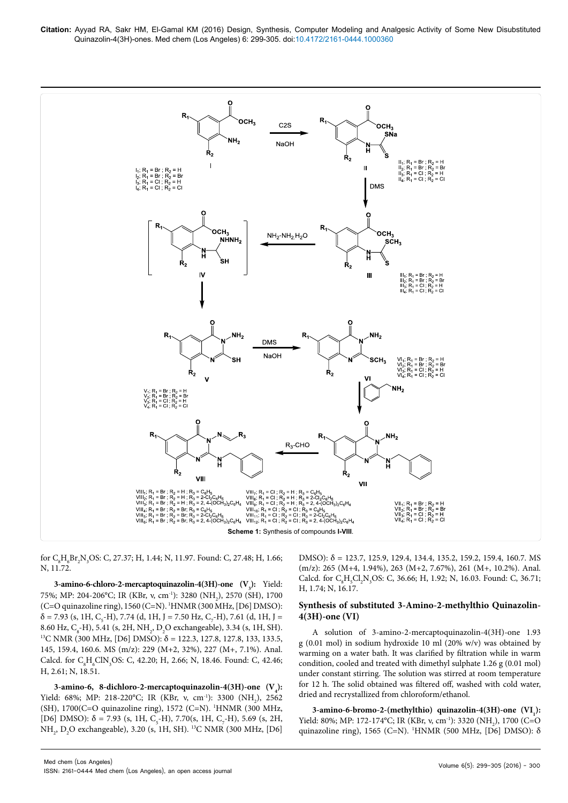

for  $C_8H_6Br_2N_3OS$ : C, 27.37; H, 1.44; N, 11.97. Found: C, 27.48; H, 1.66; N, 11.72.

**3-amino-6-chloro-2-mercaptoquinazolin-4(3H)-one (V<sub>3</sub>): Yield:** 75%; MP: 204-206°C; IR (KBr, ν, cm<sup>-1</sup>): 3280 (NH<sub>2</sub>), 2570 (SH), 1700 (C=O quinazoline ring), 1560 (C=N). 1 HNMR (300 MHz, [D6] DMSO):  $\delta$  = 7.93 (s, 1H, C<sub>5</sub>-H), 7.74 (d, 1H, J = 7.50 Hz, C<sub>7</sub>-H), 7.61 (d, 1H, J = 8.60 Hz,  $C_8$ -H), 5.41 (s, 2H, NH<sub>2</sub>, D<sub>2</sub> <sup>13</sup>C NMR (300 MHz, [D6] DMSO): δ = 122.3, 127.8, 127.8, 133, 133.5, 145, 159.4, 160.6. MS (m/z): 229 (M+2, 32%), 227 (M+, 7.1%). Anal. Calcd. for  $C_8H_6CIN_3OS$ : C, 42.20; H, 2.66; N, 18.46. Found: C, 42.46; H, 2.61; N, 18.51.

3-amino-6, 8-dichloro-2-mercaptoquinazolin-4(3H)-one  $(V_4)$ : Yield: 68%; MP: 218-220°C; IR (KBr, v, cm<sup>-1</sup>): 3300 (NH<sub>2</sub>), 2562 (SH), 1700(C=O quinazoline ring), 1572 (C=N). 1 HNMR (300 MHz, [D6] DMSO):  $\delta$  = 7.93 (s, 1H, C<sub>5</sub>-H), 7.70(s, 1H, C<sub>7</sub>-H), 5.69 (s, 2H, NH<sub>2</sub>, D<sub>2</sub>O exchangeable), 3.20 (s, 1H, SH). <sup>13</sup>C NMR (300 MHz, [D6] DMSO): δ = 123.7, 125.9, 129.4, 134.4, 135.2, 159.2, 159.4, 160.7. MS (m/z): 265 (M+4, 1.94%), 263 (M+2, 7.67%), 261 (M+, 10.2%). Anal. Calcd. for  $C_8H_5Cl_2N_3OS$ : C, 36.66; H, 1.92; N, 16.03. Found: C, 36.71; H, 1.74; N, 16.17.

#### **Synthesis of substituted 3-Amino-2-methylthio Quinazolin-4(3H)-one (VI)**

A solution of 3-amino-2-mercaptoquinazolin-4(3H)-one 1.93 g (0.01 mol) in sodium hydroxide 10 ml (20% w/v) was obtained by warming on a water bath. It was clarified by filtration while in warm condition, cooled and treated with dimethyl sulphate 1.26 g (0.01 mol) under constant stirring. The solution was stirred at room temperature for 12 h. The solid obtained was filtered off, washed with cold water, dried and recrystallized from chloroform/ethanol.

3-amino-6-bromo-2-(methylthio) quinazolin-4(3H)-one (VI<sub>1</sub>): Yield: 80%; MP: 172-174°C; IR (KBr, ν, cm<sup>-1</sup>): 3320 (NH<sub>2</sub>), 1700 (C=O quinazoline ring), 1565 (C=N). 1 HNMR (500 MHz, [D6] DMSO): δ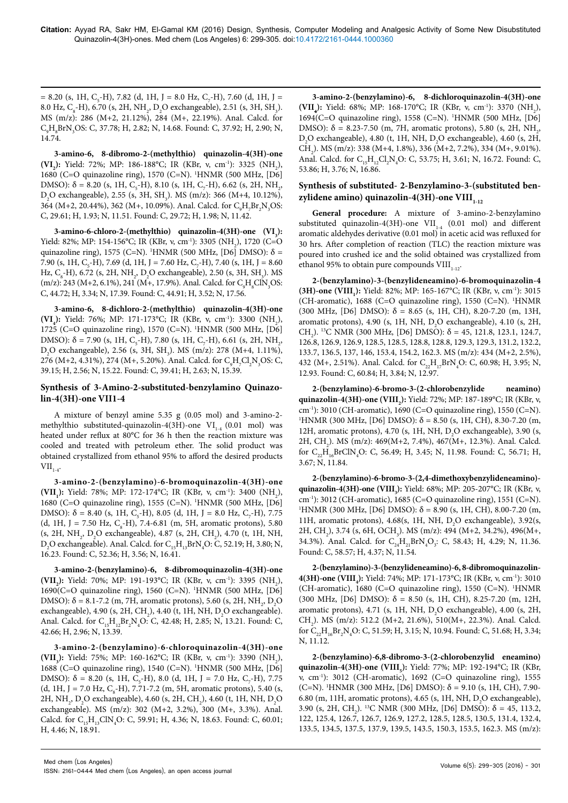$= 8.20$  (s, 1H, C<sub>5</sub>-H), 7.82 (d, 1H, J = 8.0 Hz, C<sub>7</sub>-H), 7.60 (d, 1H, J = 8.0 Hz, C<sub>8</sub>-H), 6.70 (s, 2H, NH<sub>2</sub>, D<sub>2</sub>O exchangeable), 2.51 (s, 3H, SH<sub>3</sub>). MS (m/z): 286 (M+2, 21.12%), 284 (M+, 22.19%). Anal. Calcd. for C<sub>9</sub>H<sub>8</sub>BrN<sub>3</sub>OS: C, 37.78; H, 2.82; N, 14.68. Found: C, 37.92; H, 2.90; N, 14.74.

**3-amino-6, 8-dibromo-2-(methylthio) quinazolin-4(3H)-one**  (VI<sub>2</sub>): Yield: 72%; MP: 186-188°C; IR (KBr, ν, cm<sup>-1</sup>): 3325 (NH<sub>2</sub>), 1680 (C=O quinazoline ring), 1570 (C=N). 1 HNMR (500 MHz, [D6] DMSO):  $\delta$  = 8.20 (s, 1H, C<sub>5</sub>-H), 8.10 (s, 1H, C<sub>7</sub>-H), 6.62 (s, 2H, NH<sub>2</sub>,  $D_2O$  exchangeable), 2.55 (s, 3H, SH<sub>3</sub>). MS (m/z): 366 (M+4, 10.12%), 364 (M+2, 20.44%), 362 (M+, 10.09%). Anal. Calcd. for C<sub>9</sub>H<sub>7</sub>Br<sub>2</sub>N<sub>3</sub>OS: C, 29.61; H, 1.93; N, 11.51. Found: C, 29.72; H, 1.98; N, 11.42.

3-amino-6-chloro-2-(methylthio) quinazolin-4(3H)-one (VI<sub>3</sub>): Yield: 82%; MP: 154-156°C; IR (KBr, ν, cm<sup>-1</sup>): 3305 (NH<sub>2</sub>), 1720 (C=O quinazoline ring), 1575 (C=N). <sup>1</sup>HNMR (500 MHz, [D6] DMSO):  $\delta$  = 7.90 (s, 1H, C<sub>5</sub>-H), 7.69 (d, 1H, J = 7.60 Hz, C<sub>7</sub>-H), 7.40 (s, 1H, J = 8.60 Hz, C<sub>8</sub>-H), 6.72 (s, 2H, NH<sub>2</sub>, D<sub>2</sub>O exchangeable), 2.50 (s, 3H, SH<sub>3</sub>). MS (m/z): 243 (M+2, 6.1%), 241 (M+, 17.9%). Anal. Calcd. for  $C_9H_8ClN_3OS$ : C, 44.72; H, 3.34; N, 17.39. Found: C, 44.91; H, 3.52; N, 17.56.

**3-amino-6, 8-dichloro-2-(methylthio) quinazolin-4(3H)-one**  (VI<sub>4</sub>): Yield: 76%; MP: 171-173°C; IR (KBr, ν, cm<sup>-1</sup>): 3300 (NH<sub>2</sub>), 1725 (C=O quinazoline ring), 1570 (C=N). 1 HNMR (500 MHz, [D6] DMSO): δ = 7.90 (s, 1H, C<sub>5</sub>-H), 7.80 (s, 1H, C<sub>7</sub>-H), 6.61 (s, 2H, NH<sub>2</sub>,  $D_2O$  exchangeable), 2.56 (s, 3H, SH<sub>3</sub>). MS (m/z): 278 (M+4, 1.11%), 276 (M+2, 4.31%), 274 (M+, 5.20%). Anal. Calcd. for C<sub>9</sub>H<sub>7</sub>Cl<sub>2</sub>N<sub>3</sub>OS: C, 39.15; H, 2.56; N, 15.22. Found: C, 39.41; H, 2.63; N, 15.39.

## **Synthesis of 3-Amino-2-substituted-benzylamino Quinazolin-4(3H)-one VII1-4**

A mixture of benzyl amine 5.35 g (0.05 mol) and 3-amino-2 methylthio substituted-quinazolin-4(3H)-one  $VI_{1-4}$  (0.01 mol) was heated under reflux at 80°C for 36 h then the reaction mixture was cooled and treated with petroleum ether. The solid product was obtained crystallized from ethanol 95% to afford the desired products  $VII_{1.4}$ .

**3-amino-2-(benzylamino)-6-bromoquinazolin-4(3H)-one (VII<sub>1</sub>):** Yield: 78%; MP: 172-174°C; IR (KBr, v, cm<sup>-1</sup>): 3400 (NH<sub>2</sub>), 1680 (C=O quinazoline ring), 1555 (C=N). 1 HNMR (500 MHz, [D6] DMSO):  $\delta = 8.40$  (s, 1H, C<sub>5</sub>-H), 8.05 (d, 1H, J = 8.0 Hz, C<sub>7</sub>-H), 7.75 (d, 1H, J = 7.50 Hz,  $C_s$ -H), 7.4-6.81 (m, 5H, aromatic protons), 5.80 (s, 2H, NH<sub>2</sub>, D<sub>2</sub>O exchangeable), 4.87 (s, 2H, CH<sub>2</sub>), 4.70 (t, 1H, NH,  $D_2O$  exchangeable). Anal. Calcd. for  $C_{15}H_{13}BrN_4O$ : C, 52.19; H, 3.80; N, 16.23. Found: C, 52.36; H, 3.56; N, 16.41.

**3-amino-2-(benzylamino)-6, 8-dibromoquinazolin-4(3H)-one**  (VII<sub>2</sub>): Yield: 70%; MP: 191-193°C; IR (KBr, ν, cm<sup>-1</sup>): 3395 (NH<sub>2</sub>), 1690(C=O quinazoline ring), 1560 (C=N). 1 HNMR (500 MHz, [D6] DMSO): δ = 8.1-7.2 (m, 7H, aromatic protons), 5.60 (s, 2H, NH<sub>2</sub>, D<sub>2</sub>O exchangeable), 4.90 (s, 2H, CH<sub>2</sub>), 4.40 (t, 1H, NH,  $D_2O$  exchangeable). Anal. Calcd. for  $C_{15}H_{12}Br_2N_4O$ : C, 42.48; H, 2.85; N, 13.21. Found: C, 42.66; H, 2.96; N, 13.39.

**3-amino-2-(benzylamino)-6-chloroquinazolin-4(3H)-one**  (VII<sub>3</sub>): Yield: 75%; MP: 160-162°C; IR (KBr, ν, cm<sup>-1</sup>): 3390 (NH<sub>2</sub>), 1688 (C=O quinazoline ring), 1540 (C=N). 1 HNMR (500 MHz, [D6] DMSO):  $\delta = 8.20$  (s, 1H, C<sub>5</sub>-H), 8.0 (d, 1H, J = 7.0 Hz, C<sub>7</sub>-H), 7.75 (d, 1H, J = 7.0 Hz,  $C_s$ -H), 7.71-7.2 (m, 5H, aromatic protons), 5.40 (s, 2H, NH<sub>2</sub>, D<sub>2</sub>O exchangeable), 4.60 (s, 2H, CH<sub>2</sub>), 4.60 (t, 1H, NH, D<sub>2</sub>O exchangeable). MS (m/z): 302 (M+2, 3.2%), 300 (M+, 3.3%). Anal. Calcd. for  $C_{15}H_{13}CIN_4O$ : C, 59.91; H, 4.36; N, 18.63. Found: C, 60.01; H, 4.46; N, 18.91.

**3-amino-2-(benzylamino)-6, 8-dichloroquinazolin-4(3H)-one**  (VII<sub>4</sub>): Yield: 68%; MP: 168-170°C; IR (KBr, ν, cm<sup>-1</sup>): 3370 (NH<sub>2</sub>), 1694(C=O quinazoline ring), 1558 (C=N). 1 HNMR (500 MHz, [D6] DMSO):  $δ = 8.23-7.50$  (m, 7H, aromatic protons), 5.80 (s, 2H, NH<sub>2</sub>,  $D_2O$  exchangeable), 4.80 (t, 1H, NH,  $D_2O$  exchangeable), 4.60 (s, 2H, CH<sub>2</sub>). MS (m/z): 338 (M+4, 1.8%), 336 (M+2, 7.2%), 334 (M+, 9.01%). Anal. Calcd. for  $C_{15}H_{12}Cl_2N_4O$ : C, 53.75; H, 3.61; N, 16.72. Found: C, 53.86; H, 3.76; N, 16.86.

# **Synthesis of substituted- 2-Benzylamino-3-(substituted ben**zylidene amino) quinazolin-4(3H)-one VIII<sub>1-12</sub>

**General procedure:** A mixture of 3-amino-2-benzylamino substituted quinazolin-4(3H)-one  $VII_{1,4}$  (0.01 mol) and different aromatic aldehydes derivative (0.01 mol) in acetic acid was refluxed for 30 hrs. After completion of reaction (TLC) the reaction mixture was poured into crushed ice and the solid obtained was crystallized from ethanol 95% to obtain pure compounds  $VIII_{1-12}$ .

**2-(benzylamino)-3-(benzylideneamino)-6-bromoquinazolin-4 (3H)-one (VIII<sub>1</sub>):** Yield: 82%; MP: 165-167°C; IR (KBr, ν, cm<sup>-1</sup>): 3015 (CH-aromatic), 1688 (C=O quinazoline ring), 1550 (C=N). <sup>1</sup>HNMR (300 MHz, [D6] DMSO):  $\delta = 8.65$  (s, 1H, CH), 8.20-7.20 (m, 13H, aromatic protons), 4.90 (s, 1H, NH,  $D_2O$  exchangeable), 4.10 (s, 2H, CH<sub>2</sub>). <sup>13</sup>C NMR (300 MHz, [D6] DMSO):  $\delta$  = 45, 121.8, 123.1, 124.7, 126.8, 126.9, 126.9, 128.5, 128.5, 128.8, 128.8, 129.3, 129.3, 131.2, 132.2, 133.7, 136.5, 137, 146, 153.4, 154.2, 162.3. MS (m/z): 434 (M+2, 2.5%), 432 (M+, 2.51%). Anal. Calcd. for  $C_{22}H_{17}BrN_4O$ : C, 60.98; H, 3.95; N, 12.93. Found: C, 60.84; H, 3.84; N, 12.97.

**2-(benzylamino)-6-bromo-3-(2-chlorobenzylide neamino) quinazolin-4(3H)-one (VIII<sub>2</sub>):** Yield: 72%; MP: 187-189°C; IR (KBr, ν, cm-1): 3010 (CH-aromatic), 1690 (C=O quinazoline ring), 1550 (C=N). 1 <sup>1</sup>HNMR (300 MHz, [D6] DMSO):  $\delta$  = 8.50 (s, 1H, CH), 8.30-7.20 (m, 12H, aromatic protons), 4.70 (s, 1H, NH,  $D_2O$  exchangeable), 3.90 (s, 2H, CH<sub>2</sub>). MS (m/z): 469(M+2, 7.4%), 467(M+, 12.3%). Anal. Calcd. for  $C_{22}H_{16}BrClN_4O$ : C, 56.49; H, 3.45; N, 11.98. Found: C, 56.71; H, 3.67; N, 11.84.

**2-(benzylamino)-6-bromo-3-(2,4-dimethoxybenzylideneamino) quinazolin-4(3H)-one (VIII<sub>3</sub>):** Yield: 68%; MP: 205-207°C; IR (KBr, ν, cm-1): 3012 (CH-aromatic), 1685 (C=O quinazoline ring), 1551 (C=N). 1 <sup>1</sup>HNMR (300 MHz, [D6] DMSO):  $\delta$  = 8.90 (s, 1H, CH), 8.00-7.20 (m, 11H, aromatic protons), 4.68(s, 1H, NH,  $D_2O$  exchangeable), 3.92(s, 2H, CH<sub>2</sub>), 3.74 (s, 6H, OCH<sub>3</sub>). MS (m/z): 494 (M+2, 34.2%), 496(M+, 34.3%). Anal. Calcd. for  $C_{24}H_{21}BrN_4O_3$ : C, 58.43; H, 4.29; N, 11.36. Found: C, 58.57; H, 4.37; N, 11.54.

**2-(benzylamino)-3-(benzylideneamino)-6, 8-dibromoquinazolin-4(3H)-one (VIII<sub>4</sub>):** Yield: 74%; MP: 171-173°C; IR (KBr, ν, cm<sup>-1</sup>): 3010 (CH-aromatic), 1680 (C=O quinazoline ring), 1550 (C=N). <sup>1</sup>HNMR (300 MHz, [D6] DMSO):  $\delta = 8.50$  (s, 1H, CH), 8.25-7.20 (m, 12H, aromatic protons), 4.71 (s, 1H, NH,  $D_2O$  exchangeable), 4.00 (s, 2H, CH<sub>2</sub>). MS (m/z): 512.2 (M+2, 21.6%), 510(M+, 22.3%). Anal. Calcd. for  $C_{22}H_{16}Br_2N_4O$ : C, 51.59; H, 3.15; N, 10.94. Found: C, 51.68; H, 3.34; N, 11.12.

**2-(benzylamino)-6,8-dibromo-3-(2-chlorobenzylid eneamino) quinazolin-4(3H)-one (VIII<sub>5</sub>):** Yield: 77%; MP: 192-194°C; IR (KBr, ν, cm-1): 3012 (CH-aromatic), 1692 (C=O quinazoline ring), 1555 (C=N). 1 HNMR (300 MHz, [D6] DMSO): δ = 9.10 (s, 1H, CH), 7.90- 6.80 (m, 11H, aromatic protons), 4.65 (s, 1H, NH,  $D_2O$  exchangeable), 3.90 (s, 2H, CH<sub>2</sub>). <sup>13</sup>C NMR (300 MHz, [D6] DMSO):  $\delta = 45$ , 113.2, 122, 125.4, 126.7, 126.7, 126.9, 127.2, 128.5, 128.5, 130.5, 131.4, 132.4, 133.5, 134.5, 137.5, 137.9, 139.5, 143.5, 150.3, 153.5, 162.3. MS (m/z):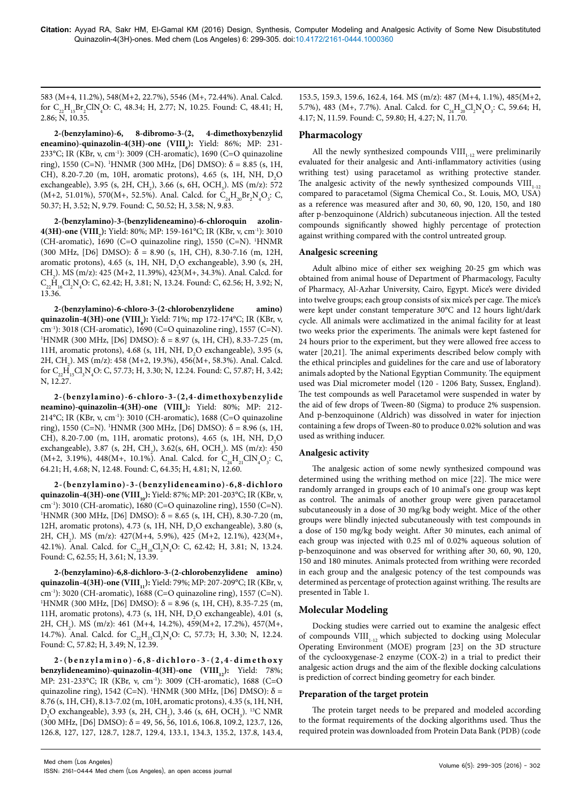583 (M+4, 11.2%), 548(M+2, 22.7%), 5546 (M+, 72.44%). Anal. Calcd. for  $C_{22}H_{15}Br_2ClN_4O$ : C, 48.34; H, 2.77; N, 10.25. Found: C, 48.41; H, 2.86; N, 10.35.

**2-(benzylamino)-6, 8-dibromo-3-(2, 4-dimethoxybenzylid eneamino)-quinazolin-4(3H)-one (VIII<sub>6</sub>):** Yield: 86%; MP: 231-233°C; IR (KBr, ν, cm-1): 3009 (CH-aromatic), 1690 (C=O quinazoline ring), 1550 (C=N). 1 HNMR (300 MHz, [D6] DMSO): δ = 8.85 (s, 1H, CH), 8.20-7.20 (m, 10H, aromatic protons), 4.65 (s, 1H, NH,  $D_2O$ exchangeable), 3.95 (s, 2H, CH<sub>2</sub>), 3.66 (s, 6H, OCH<sub>3</sub>). MS (m/z): 572 (M+2, 51.01%), 570(M+, 52.5%). Anal. Calcd. for  $C_{24}H_{20}Br_2N_4O_3$ : C, 50.37; H, 3.52; N, 9.79. Found: C, 50.52; H, 3.58; N, 9.83.

**2-(benzylamino)-3-(benzylideneamino)-6-chloroquin azolin-4(3H)-one (VIII**<sub>7</sub>): Yield: 80%; MP: 159-161°C; IR (KBr, ν, cm<sup>-1</sup>): 3010 (CH-aromatic), 1690 (C=O quinazoline ring), 1550 (C=N). 1 HNMR (300 MHz, [D6] DMSO):  $\delta = 8.90$  (s, 1H, CH), 8.30-7.16 (m, 12H, aromatic protons), 4.65 (s, 1H, NH,  $D_2O$  exchangeable), 3.90 (s, 2H, CH<sub>2</sub>). MS (m/z): 425 (M+2, 11.39%), 423(M+, 34.3%). Anal. Calcd. for  $C_{22}H_{16}Cl_2N_4O$ : C, 62.42; H, 3.81; N, 13.24. Found: C, 62.56; H, 3.92; N, 13.36.

**2-(benzylamino)-6-chloro-3-(2-chlorobenzylidene amino) quinazolin-4(3H)-one (VIII<sub>8</sub>):** Yield: 71%; mp 172-174°C; IR (KBr, ν, cm<sup>-1</sup>): 3018 (CH-aromatic), 1690 (C=O quinazoline ring), 1557 (C=N). <sup>1</sup>HNMR (300 MHz, [D6] DMSO):  $\delta$  = 8.97 (s, 1H, CH), 8.33-7.25 (m, 11H, aromatic protons), 4.68 (s, 1H, NH,  $D_2O$  exchangeable), 3.95 (s, 2H, CH<sub>2</sub>). MS (m/z): 458 (M+2, 19.3%), 456(M+, 58.3%). Anal. Calcd. for  $C_{22}H_{15}Cl_{3}N_{4}O$ : C, 57.73; H, 3.30; N, 12.24. Found: C, 57.87; H, 3.42; N, 12.27.

**2-(benzylamino)-6-chloro-3-(2,4-dimethoxybenzylide neamino)-quinazolin-4(3H)-one (VIII<sub>9</sub>):** Yield: 80%; MP: 212-214°C; IR (KBr, ν, cm-1): 3010 (CH-aromatic), 1688 (C=O quinazoline ring), 1550 (C=N). 1 HNMR (300 MHz, [D6] DMSO): δ = 8.96 (s, 1H, CH), 8.20-7.00 (m, 11H, aromatic protons), 4.65 (s, 1H, NH,  $D_2O$ exchangeable), 3.87 (s, 2H, CH<sub>2</sub>), 3.62(s, 6H, OCH<sub>3</sub>). MS (m/z): 450 (M+2, 3.19%), 448(M+, 10.1%). Anal. Calcd. for  $C_{24}H_{21}CIN_{4}O_{3}$ : C, 64.21; H, 4.68; N, 12.48. Found: C, 64.35; H, 4.81; N, 12.60.

**2-(benzylamino)-3-(benzylideneamino)-6,8-dichloro quinazolin-4(3H)-one (VIII**<sub>10</sub>): Yield: 87%; MP: 201-203°C; IR (KBr, ν, cm-1): 3010 (CH-aromatic), 1680 (C=O quinazoline ring), 1550 (C=N). 1 <sup>1</sup>HNMR (300 MHz, [D6] DMSO): δ = 8.65 (s, 1H, CH), 8.30-7.20 (m, 12H, aromatic protons), 4.73 (s, 1H, NH,  $D_2O$  exchangeable), 3.80 (s, 2H, CH<sub>2</sub>). MS (m/z): 427(M+4, 5.9%), 425 (M+2, 12.1%), 423(M+, 42.1%). Anal. Calcd. for  $C_{22}H_{16}Cl_2N_4O$ : C, 62.42; H, 3.81; N, 13.24. Found: C, 62.55; H, 3.61; N, 13.39.

**2-(benzylamino)-6,8-dichloro-3-(2-chlorobenzylidene amino) quinazolin-4(3H)-one (VIII<sub>11</sub>):** Yield: 79%; MP: 207-209°C; IR (KBr, ν, cm-1): 3020 (CH-aromatic), 1688 (C=O quinazoline ring), 1557 (C=N). 1 <sup>1</sup>HNMR (300 MHz, [D6] DMSO):  $\delta$  = 8.96 (s, 1H, CH), 8.35-7.25 (m, 11H, aromatic protons), 4.73 (s, 1H, NH,  $D_2O$  exchangeable), 4.01 (s, 2H, CH<sub>2</sub>). MS (m/z): 461 (M+4, 14.2%), 459(M+2, 17.2%), 457(M+, 14.7%). Anal. Calcd. for  $C_{22}H_{15}Cl_{3}N_{4}O$ : C, 57.73; H, 3.30; N, 12.24. Found: C, 57.82; H, 3.49; N, 12.39.

**2 - ( b e n z y l a m i n o ) - 6 , 8 - d i c h l o r o - 3 - ( 2 , 4 - d i m e t h o x y benzylideneamino)-quinazolin-4(3H)-one (VIII<sub>12</sub>): Yield: 78%;** MP: 231-233°C; IR (KBr, ν, cm-1): 3009 (CH-aromatic), 1688 (C=O quinazoline ring), 1542 (C=N). <sup>1</sup>HNMR (300 MHz, [D6] DMSO):  $\delta$  = 8.76 (s, 1H, CH), 8.13-7.02 (m, 10H, aromatic protons), 4.35 (s, 1H, NH, D<sub>2</sub>O exchangeable), 3.93 (s, 2H, CH<sub>2</sub>), 3.46 (s, 6H, OCH<sub>3</sub>). <sup>13</sup>C NMR  $(300 \text{ MHz}, [D6] \text{ DMSO})$ :  $\delta = 49, 56, 56, 101.6, 106.8, 109.2, 123.7, 126,$ 126.8, 127, 127, 128.7, 128.7, 129.4, 133.1, 134.3, 135.2, 137.8, 143.4,

153.5, 159.3, 159.6, 162.4, 164. MS (m/z): 487 (M+4, 1.1%), 485(M+2, 5.7%), 483 (M+, 7.7%). Anal. Calcd. for  $C_{24}H_{20}Cl_2N_4O_3$ : C, 59.64; H, 4.17; N, 11.59. Found: C, 59.80; H, 4.27; N, 11.70.

# **Pharmacology**

All the newly synthesized compounds  $VIII_{1-12}$  were preliminarily evaluated for their analgesic and Anti-inflammatory activities (using writhing test) using paracetamol as writhing protective stander. The analgesic activity of the newly synthesized compounds  $VIII_{1,12}$ compared to paracetamol (Sigma Chemical Co., St. Louis, MO, USA) as a reference was measured after and 30, 60, 90, 120, 150, and 180 after p-benzoquinone (Aldrich) subcutaneous injection. All the tested compounds significantly showed highly percentage of protection against writhing compared with the control untreated group.

## **Analgesic screening**

Adult albino mice of either sex weighing 20-25 gm which was obtained from animal house of Department of Pharmacology, Faculty of Pharmacy, Al-Azhar University, Cairo, Egypt. Mice's were divided into twelve groups; each group consists of six mice's per cage. The mice's were kept under constant temperature 30°C and 12 hours light/dark cycle. All animals were acclimatized in the animal facility for at least two weeks prior the experiments. The animals were kept fastened for 24 hours prior to the experiment, but they were allowed free access to water [20,21]. The animal experiments described below comply with the ethical principles and guidelines for the care and use of laboratory animals adopted by the National Egyptian Community. The equipment used was Dial micrometer model (120 - 1206 Baty, Sussex, England). The test compounds as well Paracetamol were suspended in water by the aid of few drops of Tween-80 (Sigma) to produce 2% suspension. And p-benzoquinone (Aldrich) was dissolved in water for injection containing a few drops of Tween-80 to produce 0.02% solution and was used as writhing inducer.

# **Analgesic activity**

The analgesic action of some newly synthesized compound was determined using the writhing method on mice [22]. The mice were randomly arranged in groups each of 10 animal's one group was kept as control. The animals of another group were given paracetamol subcutaneously in a dose of 30 mg/kg body weight. Mice of the other groups were blindly injected subcutaneously with test compounds in a dose of 150 mg/kg body weight. After 30 minutes, each animal of each group was injected with 0.25 ml of 0.02% aqueous solution of p-benzoquinone and was observed for writhing after 30, 60, 90, 120, 150 and 180 minutes. Animals protected from writhing were recorded in each group and the analgesic potency of the test compounds was determined as percentage of protection against writhing. The results are presented in Table 1.

# **Molecular Modeling**

Docking studies were carried out to examine the analgesic effect of compounds  $VIII_{1-12}$  which subjected to docking using Molecular Operating Environment (MOE) program [23] on the 3D structure of the cyclooxygenase-2 enzyme (COX-2) in a trial to predict their analgesic action drugs and the aim of the flexible docking calculations is prediction of correct binding geometry for each binder.

#### **Preparation of the target protein**

The protein target needs to be prepared and modeled according to the format requirements of the docking algorithms used. Thus the required protein was downloaded from Protein Data Bank (PDB) (code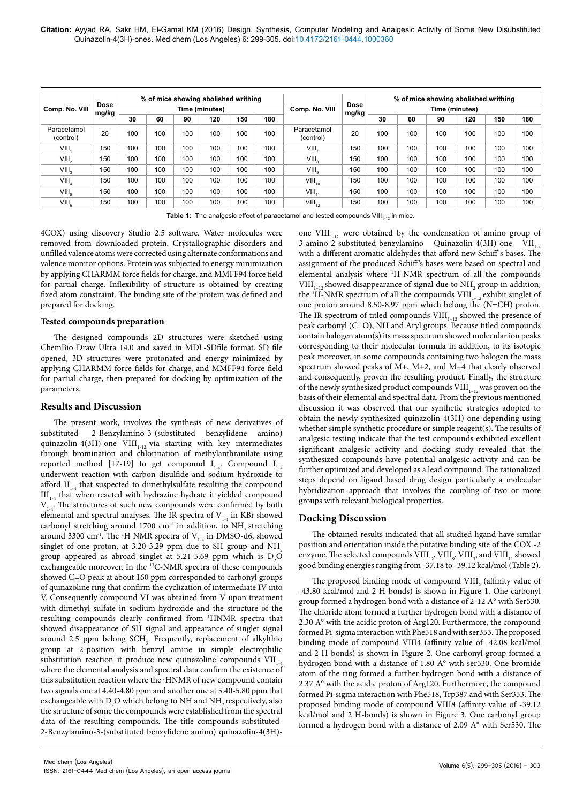**Citation:** Ayyad RA, Sakr HM, El-Gamal KM (2016) Design, Synthesis, Computer Modeling and Analgesic Activity of Some New Disubstituted Quinazolin-4(3H)-ones. Med chem (Los Angeles) 6: 299-305. doi:10.4172/2161-0444.1000360

| Comp. No. VIII           | Dose<br>mg/kg | % of mice showing abolished writhing<br>Time (minutes) |     |     |     |     |     | Comp. No. VIII           | <b>Dose</b><br>mg/kg | % of mice showing abolished writhing |     |     |     |     |     |
|--------------------------|---------------|--------------------------------------------------------|-----|-----|-----|-----|-----|--------------------------|----------------------|--------------------------------------|-----|-----|-----|-----|-----|
|                          |               |                                                        |     |     |     |     |     |                          |                      | Time (minutes)                       |     |     |     |     |     |
|                          |               | 30                                                     | 60  | 90  | 120 | 150 | 180 |                          |                      | 30                                   | 60  | 90  | 120 | 150 | 180 |
| Paracetamol<br>(control) | 20            | 100                                                    | 100 | 100 | 100 | 100 | 100 | Paracetamol<br>(control) | 20                   | 100                                  | 100 | 100 | 100 | 100 | 100 |
| VIII.                    | 150           | 100                                                    | 100 | 100 | 100 | 100 | 100 | VIII.                    | 150                  | 100                                  | 100 | 100 | 100 | 100 | 100 |
| VIII,                    | 150           | 100                                                    | 100 | 100 | 100 | 100 | 100 | VIII <sub>a</sub>        | 150                  | 100                                  | 100 | 100 | 100 | 100 | 100 |
| VIII <sub>3</sub>        | 150           | 100                                                    | 100 | 100 | 100 | 100 | 100 | $VIII_{\alpha}$          | 150                  | 100                                  | 100 | 100 | 100 | 100 | 100 |
| $VIII_{4}$               | 150           | 100                                                    | 100 | 100 | 100 | 100 | 100 | $VIII_{10}$              | 150                  | 100                                  | 100 | 100 | 100 | 100 | 100 |
| VIII <sub>5</sub>        | 150           | 100                                                    | 100 | 100 | 100 | 100 | 100 | $VIII_{11}$              | 150                  | 100                                  | 100 | 100 | 100 | 100 | 100 |
| VIII <sub>a</sub>        | 150           | 100                                                    | 100 | 100 | 100 | 100 | 100 | $VIII_{12}$              | 150                  | 100                                  | 100 | 100 | 100 | 100 | 100 |

**Table 1:** The analgesic effect of paracetamol and tested compounds VIII<sub>1-12</sub> in mice.

4COX) using discovery Studio 2.5 software. Water molecules were removed from downloaded protein. Crystallographic disorders and unfilled valence atoms were corrected using alternate conformations and valence monitor options. Protein was subjected to energy minimization by applying CHARMM force fields for charge, and MMFF94 force field for partial charge. Inflexibility of structure is obtained by creating fixed atom constraint. The binding site of the protein was defined and prepared for docking.

#### **Tested compounds preparation**

The designed compounds 2D structures were sketched using ChemBio Draw Ultra 14.0 and saved in MDL-SDfile format. SD file opened, 3D structures were protonated and energy minimized by applying CHARMM force fields for charge, and MMFF94 force field for partial charge, then prepared for docking by optimization of the parameters.

#### **Results and Discussion**

The present work, involves the synthesis of new derivatives of substituted- 2-Benzylamino-3-(substituted benzylidene amino) quinazolin-4(3H)-one  ${\rm VIII}_{_{1\text{--}12}}$  via starting with key intermediates through bromination and chlorination of methylanthranilate using reported method [17-19] to get compound  $I_{1-4}$ . Compound  $I_{1-4}$ underwent reaction with carbon disulfide and sodium hydroxide to afford  $II_{1-4}$  that suspected to dimethylsulfate resulting the compound  $III_{14}$  that when reacted with hydrazine hydrate it yielded compound  $V_{1,4}$ . The structures of such new compounds were confirmed by both elemental and spectral analyses. The IR spectra of  $V_{1.4}$  in KBr showed carbonyl stretching around 1700  $cm^{-1}$  in addition, to NH<sub>2</sub> stretching around 3300 cm<sup>-1</sup>. The <sup>1</sup>H NMR spectra of  $V_{1\text{-}4}$  in DMSO-d6, showed singlet of one proton, at 3.20-3.29 ppm due to SH group and  $NH<sub>2</sub>$ group appeared as abroad singlet at 5.21-5.69 ppm which is  $D_2O$ exchangeable moreover, In the 13C-NMR spectra of these compounds showed C=O peak at about 160 ppm corresponded to carbonyl groups of quinazoline ring that confirm the cyclization of intermediate IV into V. Consequently compound VI was obtained from V upon treatment with dimethyl sulfate in sodium hydroxide and the structure of the resulting compounds clearly confirmed from 1 HNMR spectra that showed disappearance of SH signal and appearance of singlet signal around 2.5 ppm belong SCH<sub>3</sub>. Frequently, replacement of alkylthio group at 2-position with benzyl amine in simple electrophilic substitution reaction it produce new quinazoline compounds  $VII_{14}$ where the elemental analysis and spectral data confirm the existence of this substitution reaction where the 1 HNMR of new compound contain two signals one at 4.40-4.80 ppm and another one at 5.40-5.80 ppm that exchangeable with  $\mathrm{D}_\mathrm{2}\mathrm{O}$  which belong to NH and NH $_\mathrm{2}$  respectively, also the structure of some the compounds were established from the spectral data of the resulting compounds. The title compounds substituted-2-Benzylamino-3-(substituted benzylidene amino) quinazolin-4(3H)-

one  $VIII_{1-12}$  were obtained by the condensation of amino group of 3-amino-2-substituted-benzylamino Quinazolin-4(3H)-one VII<sub>1-4</sub> with a different aromatic aldehydes that afford new Schiff 's bases. The assignment of the produced Schiff 's bases were based on spectral and elemental analysis where 1 H-NMR spectrum of all the compounds  $VIII<sub>1-12</sub>$  showed disappearance of signal due to  $NH<sub>2</sub>$  group in addition, the  $H-MMR$  spectrum of all the compounds  $VIII_{1-12}$  exhibit singlet of one proton around 8.50-8.97 ppm which belong the (N=CH) proton. The IR spectrum of titled compounds  $VIII$ <sub>1-12</sub> showed the presence of peak carbonyl (C=O), NH and Aryl groups. Because titled compounds contain halogen atom(s) its mass spectrum showed molecular ion peaks corresponding to their molecular formula in addition, to its isotopic peak moreover, in some compounds containing two halogen the mass spectrum showed peaks of M+, M+2, and M+4 that clearly observed and consequently, proven the resulting product. Finally, the structure of the newly synthesized product compounds  $VIII$ <sub>1-12</sub> was proven on the basis of their elemental and spectral data. From the previous mentioned discussion it was observed that our synthetic strategies adopted to obtain the newly synthesized quinazolin-4(3H)-one depending using whether simple synthetic procedure or simple reagent(s). The results of analgesic testing indicate that the test compounds exhibited excellent significant analgesic activity and docking study revealed that the synthesized compounds have potential analgesic activity and can be further optimized and developed as a lead compound. The rationalized steps depend on ligand based drug design particularly a molecular hybridization approach that involves the coupling of two or more groups with relevant biological properties.

#### **Docking Discussion**

The obtained results indicated that all studied ligand have similar position and orientation inside the putative binding site of the COX -2 enzyme. The selected compounds  $\text{VIII}_{\text{12}}$  ,  $\text{VIII}_{\text{9}}$  ,  $\text{VIII}_{\text{11}}$  showed good binding energies ranging from -37.18 to -39.12 kcal/mol (Table 2).

The proposed binding mode of compound  $\text{VIII}_\text{2}$  (affinity value of -43.80 kcal/mol and 2 H-bonds) is shown in Figure 1. One carbonyl group formed a hydrogen bond with a distance of 2-12 A° with Ser530. The chloride atom formed a further hydrogen bond with a distance of 2.30 A° with the acidic proton of Arg120. Furthermore, the compound formed Pi-sigma interaction with Phe518 and with ser353. The proposed binding mode of compound VIII4 (affinity value of -42.08 kcal/mol and 2 H-bonds) is shown in Figure 2. One carbonyl group formed a hydrogen bond with a distance of 1.80 A° with ser530. One bromide atom of the ring formed a further hydrogen bond with a distance of 2.37 A° with the acidic proton of Arg120. Furthermore, the compound formed Pi-sigma interaction with Phe518, Trp387 and with Ser353. The proposed binding mode of compound VIII8 (affinity value of -39.12 kcal/mol and 2 H-bonds) is shown in Figure 3. One carbonyl group formed a hydrogen bond with a distance of 2.09 A° with Ser530. The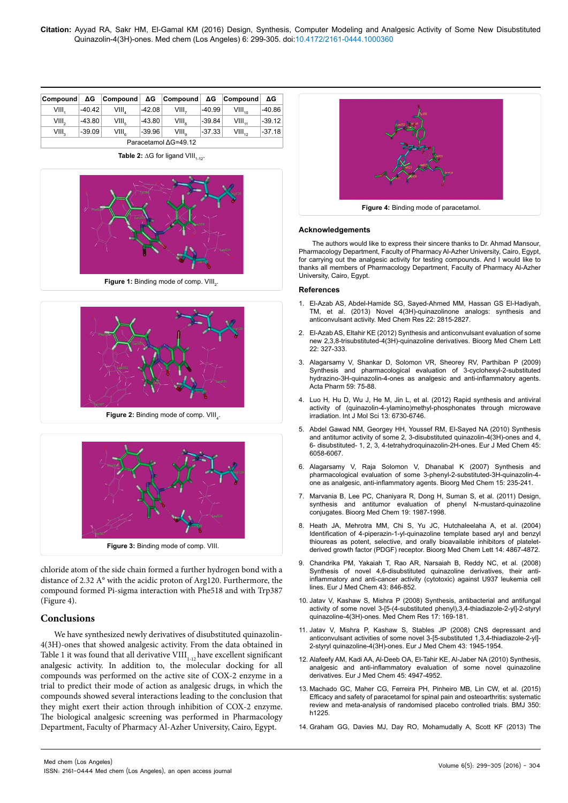| Compound             | ΔG       | Compound $\Delta G$ Compound |          |                | ΔG       | <b>Compound</b> | ΔG       |  |  |  |
|----------------------|----------|------------------------------|----------|----------------|----------|-----------------|----------|--|--|--|
| VIII.                | $-40.42$ | VIII.                        | $-42.08$ | VIII.          | $-40.99$ | $VIII_{40}$     | $-40.86$ |  |  |  |
| $VIII_{2}$           | $-43.80$ | VIII <sub>e</sub>            | $-43.80$ | $VIII_{\circ}$ | $-39.84$ | $VIII_{11}$     | $-39.12$ |  |  |  |
| VIII.                | $-39.09$ | $VIII_{c}$                   | $-39.96$ | $VIII_{\circ}$ | -37.33   | $VIII_{42}$     | $-37.18$ |  |  |  |
| Paracetamol ∆G=49.12 |          |                              |          |                |          |                 |          |  |  |  |

Table 2: ∆G for ligand VIII<sub>1-12</sub>.



**Figure 1:** Binding mode of comp. VIII<sub>2</sub>.





**Figure 3:** Binding mode of comp. VIII.

chloride atom of the side chain formed a further hydrogen bond with a distance of 2.32 A° with the acidic proton of Arg120. Furthermore, the compound formed Pi-sigma interaction with Phe518 and with Trp387 (Figure 4).

#### **Conclusions**

We have synthesized newly derivatives of disubstituted quinazolin-4(3H)-ones that showed analgesic activity. From the data obtained in Table 1 it was found that all derivative  $VIII_{1,12}$  have excellent significant analgesic activity. In addition to, the molecular docking for all compounds was performed on the active site of COX-2 enzyme in a trial to predict their mode of action as analgesic drugs, in which the compounds showed several interactions leading to the conclusion that they might exert their action through inhibition of COX-2 enzyme. The biological analgesic screening was performed in Pharmacology Department, Faculty of Pharmacy Al-Azher University, Cairo, Egypt.



#### **Acknowledgements**

The authors would like to express their sincere thanks to Dr. Ahmad Mansour, Pharmacology Department, Faculty of Pharmacy Al-Azher University, Cairo, Egypt, for carrying out the analgesic activity for testing compounds. And I would like to thanks all members of Pharmacology Department, Faculty of Pharmacy Al-Azher University, Cairo, Egypt.

#### **References**

- 1. [El-Azab AS, Abdel-Hamide SG, Sayed-Ahmed MM, Hassan GS El-Hadiyah,](http://pharfac.mans.edu.eg/media/cat_upload/logo_1937067675.pdf)  [TM, et al. \(2013\) Novel 4\(3H\)-quinazolinone analogs: synthesis and](http://pharfac.mans.edu.eg/media/cat_upload/logo_1937067675.pdf)  [anticonvulsant activity. Med Chem Res 22: 2815-2827.](http://pharfac.mans.edu.eg/media/cat_upload/logo_1937067675.pdf)
- 2. [El-Azab AS, Eltahir KE \(2012\) Synthesis and anticonvulsant evaluation of some](http://www.ncbi.nlm.nih.gov/pubmed/22137344)  [new 2,3,8-trisubstituted-4\(3H\)-quinazoline derivatives. Bioorg Med Chem Lett](http://www.ncbi.nlm.nih.gov/pubmed/22137344)  [22: 327-333.](http://www.ncbi.nlm.nih.gov/pubmed/22137344)
- 3. [Alagarsamy V, Shankar D, Solomon VR, Sheorey RV, Parthiban P \(2009\)](http://www.ncbi.nlm.nih.gov/pubmed/19304560)  [Synthesis and pharmacological evaluation of 3-cyclohexyl-2-substituted](http://www.ncbi.nlm.nih.gov/pubmed/19304560)  [hydrazino-3H-quinazolin-4-ones as analgesic and anti-inflammatory agents.](http://www.ncbi.nlm.nih.gov/pubmed/19304560)  [Acta Pharm 59: 75-88.](http://www.ncbi.nlm.nih.gov/pubmed/19304560)
- 4. [Luo H, Hu D, Wu J, He M, Jin L, et al. \(2012\) Rapid synthesis and antiviral](http://www.ncbi.nlm.nih.gov/pubmed/22837660)  [activity of \(quinazolin-4-ylamino\)methyl-phosphonates through microwave](http://www.ncbi.nlm.nih.gov/pubmed/22837660)  [irradiation. Int J Mol Sci 13: 6730-6746.](http://www.ncbi.nlm.nih.gov/pubmed/22837660)
- 5. [Abdel Gawad NM, Georgey HH, Youssef RM, El-Sayed NA \(2010\) Synthesis](http://www.ncbi.nlm.nih.gov/pubmed/21051122)  [and antitumor activity of some 2, 3-disubstituted quinazolin-4\(3H\)-ones and 4,](http://www.ncbi.nlm.nih.gov/pubmed/21051122)  [6- disubstituted- 1, 2, 3, 4-tetrahydroquinazolin-2H-ones. Eur J Med Chem 45:](http://www.ncbi.nlm.nih.gov/pubmed/21051122)  [6058-6067.](http://www.ncbi.nlm.nih.gov/pubmed/21051122)
- 6. [Alagarsamy V, Raja Solomon V, Dhanabal K \(2007\) Synthesis and](http://www.ncbi.nlm.nih.gov/pubmed/17079148)  [pharmacological evaluation of some 3-phenyl-2-substituted-3H-quinazolin-4](http://www.ncbi.nlm.nih.gov/pubmed/17079148) [one as analgesic, anti-inflammatory agents. Bioorg Med Chem 15: 235-241.](http://www.ncbi.nlm.nih.gov/pubmed/17079148)
- 7. [Marvania B, Lee PC, Chaniyara R, Dong H, Suman S, et al. \(2011\) Design,](http://www.ncbi.nlm.nih.gov/pubmed/21356592)  [synthesis and antitumor evaluation of phenyl N-mustard-quinazoline](http://www.ncbi.nlm.nih.gov/pubmed/21356592)  [conjugates. Bioorg Med Chem 19: 1987-1998.](http://www.ncbi.nlm.nih.gov/pubmed/21356592)
- 8. [Heath JA, Mehrotra MM, Chi S, Yu JC, Hutchaleelaha A, et al. \(2004\)](http://www.ncbi.nlm.nih.gov/pubmed/15341941)  [Identification of 4-piperazin-1-yl-quinazoline template based aryl and benzyl](http://www.ncbi.nlm.nih.gov/pubmed/15341941)  [thioureas as potent, selective, and orally bioavailable inhibitors of platelet](http://www.ncbi.nlm.nih.gov/pubmed/15341941)[derived growth factor \(PDGF\) receptor. Bioorg Med Chem Lett 14: 4867-4872.](http://www.ncbi.nlm.nih.gov/pubmed/15341941)
- 9. [Chandrika PM, Yakaiah T, Rao AR, Narsaiah B, Reddy NC, et al. \(2008\)](http://www.ncbi.nlm.nih.gov/pubmed/17689837)  [Synthesis of novel 4,6-disubstituted quinazoline derivatives, their anti](http://www.ncbi.nlm.nih.gov/pubmed/17689837)[inflammatory and anti-cancer activity \(cytotoxic\) against U937 leukemia cell](http://www.ncbi.nlm.nih.gov/pubmed/17689837)  [lines. Eur J Med Chem 43: 846-852.](http://www.ncbi.nlm.nih.gov/pubmed/17689837)
- 10. [Jatav V, Kashaw S, Mishra P \(2008\) Synthesis, antibacterial and antifungal](http://link.springer.com/article/10.1007%2Fs00044-007-9047-2#/page-1)  activity of some novel 3-[5-(4-substituted phenyl), 3, 4-thiadiazole-2-yl]-2-styryl [quinazoline-4\(3H\)-ones. Med Chem Res 17: 169-181.](http://link.springer.com/article/10.1007%2Fs00044-007-9047-2#/page-1)
- 11. [Jatav V, Mishra P, Kashaw S, Stables JP \(2008\) CNS depressant and](http://www.ncbi.nlm.nih.gov/pubmed/18222569)  [anticonvulsant activities of some novel 3-\[5-substituted 1,3,4-thiadiazole-2-yl\]-](http://www.ncbi.nlm.nih.gov/pubmed/18222569) [2-styryl quinazoline-4\(3H\)-ones. Eur J Med Chem 43: 1945-1954.](http://www.ncbi.nlm.nih.gov/pubmed/18222569)
- 12. [Alafeefy AM, Kadi AA, Al-Deeb OA, El-Tahir KE, Al-Jaber NA \(2010\) Synthesis,](http://www.ncbi.nlm.nih.gov/pubmed/20817329)  [analgesic and anti-inflammatory evaluation of some novel quinazoline](http://www.ncbi.nlm.nih.gov/pubmed/20817329)  [derivatives. Eur J Med Chem 45: 4947-4952.](http://www.ncbi.nlm.nih.gov/pubmed/20817329)
- 13. [Machado GC, Maher CG, Ferreira PH, Pinheiro MB, Lin CW, et al. \(2015\)](http://www.ncbi.nlm.nih.gov/pubmed/25828856)  [Efficacy and safety of paracetamol for spinal pain and osteoarthritis: systematic](http://www.ncbi.nlm.nih.gov/pubmed/25828856)  [review and meta-analysis of randomised placebo controlled trials. BMJ 350:](http://www.ncbi.nlm.nih.gov/pubmed/25828856)  [h1225.](http://www.ncbi.nlm.nih.gov/pubmed/25828856)
- 14. [Graham GG, Davies MJ, Day RO, Mohamudally A, Scott KF \(2013\) The](http://www.ncbi.nlm.nih.gov/pubmed/23719833)